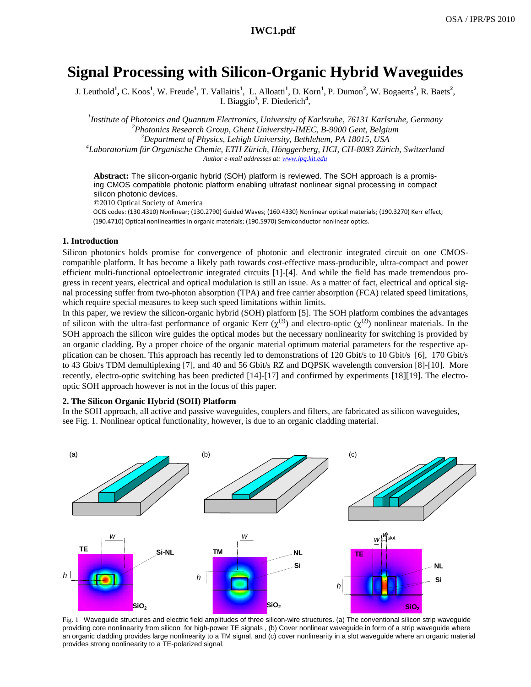# **Signal Processing with Silicon-Organic Hybrid Waveguides**

J. Leuthold**<sup>1</sup> ,** C. Koos**<sup>1</sup>** , W. Freude**<sup>1</sup>** , T. Vallaitis**<sup>1</sup>** , L. Alloatti**<sup>1</sup>** , D. Korn**<sup>1</sup>** , P. Dumon**<sup>2</sup>** , W. Bogaerts**<sup>2</sup>** , R. Baets**<sup>2</sup>** , I. Biaggio**<sup>3</sup>** , F. Diederich**<sup>4</sup>** ,

*1 Institute of Photonics and Quantum Electronics, University of Karlsruhe, 76131 Karlsruhe, Germany <sup>2</sup> Photonics Research Group, Ghent University-IMEC, B-9000 Gent, Belgium <sup>3</sup> Department of Physics, Lehigh University, Bethlehem, PA 18015, USA <sup>4</sup>*

*Laboratorium für Organische Chemie, ETH Zürich, Hönggerberg, HCI, CH-8093 Zürich, Switzerland Author e-mail addresses at: www.ipq.kit.edu*

**Abstract:** The silicon-organic hybrid (SOH) platform is reviewed. The SOH approach is a promising CMOS compatible photonic platform enabling ultrafast nonlinear signal processing in compact silicon photonic devices.

©2010 Optical Society of America

OCIS codes: (130.4310) Nonlinear; (130.2790) Guided Waves; (160.4330) Nonlinear optical materials; (190.3270) Kerr effect; (190.4710) Optical nonlinearities in organic materials; (190.5970) Semiconductor nonlinear optics.

### **1. Introduction**

Silicon photonics holds promise for convergence of photonic and electronic integrated circuit on one CMOScompatible platform. It has become a likely path towards cost-effective mass-producible, ultra-compact and power efficient multi-functional optoelectronic integrated circuits [1]-[4]. And while the field has made tremendous progress in recent years, electrical and optical modulation is still an issue. As a matter of fact, electrical and optical signal processing suffer from two-photon absorption (TPA) and free carrier absorption (FCA) related speed limitations, which require special measures to keep such speed limitations within limits.

In this paper, we review the silicon-organic hybrid (SOH) platform [5]. The SOH platform combines the advantages of silicon with the ultra-fast performance of organic Kerr ( $\chi^{(3)}$ ) and electro-optic ( $\chi^{(2)}$ ) nonlinear materials. In the SOH approach the silicon wire guides the optical modes but the necessary nonlinearity for switching is provided by an organic cladding. By a proper choice of the organic material optimum material parameters for the respective application can be chosen. This approach has recently led to demonstrations of 120 Gbit/s to 10 Gbit/s [6], 170 Gbit/s to 43 Gbit/s TDM demultiplexing [7], and 40 and 56 Gbit/s RZ and DQPSK wavelength conversion [8]-[10]. More recently, electro-optic switching has been predicted [14]-[17] and confirmed by experiments [18][19]. The electrooptic SOH approach however is not in the focus of this paper.

# **2. The Silicon Organic Hybrid (SOH) Platform**

In the SOH approach, all active and passive waveguides, couplers and filters, are fabricated as silicon waveguides, see Fig. 1. Nonlinear optical functionality, however, is due to an organic cladding material.



Fig. 1 Waveguide structures and electric field amplitudes of three silicon-wire structures. (a) The conventional silicon strip waveguide providing core nonlinearity from silicon for high-power TE signals , (b) Cover nonlinear waveguide in form of a strip waveguide where an organic cladding provides large nonlinearity to a TM signal, and (c) cover nonlinearity in a slot waveguide where an organic material provides strong nonlinearity to a TE-polarized signal.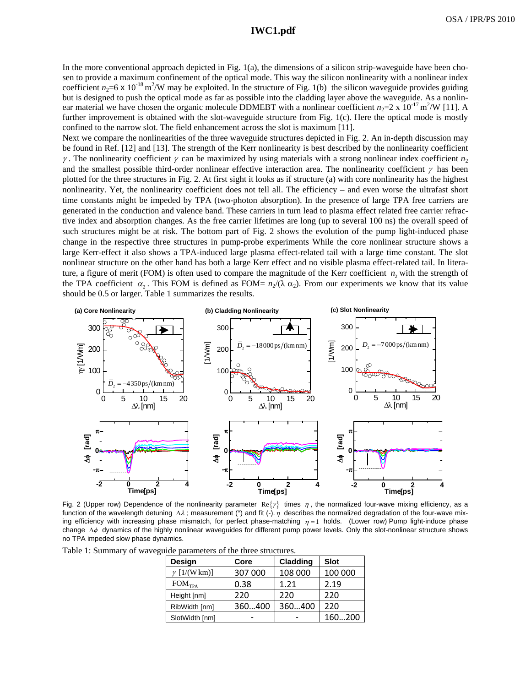# **IWC1.pdf**

In the more conventional approach depicted in Fig. 1(a), the dimensions of a silicon strip-waveguide have been chosen to provide a maximum confinement of the optical mode. This way the silicon nonlinearity with a nonlinear index coefficient  $n_2$ =6 x 10<sup>-18</sup> m<sup>2</sup>/W may be exploited. In the structure of Fig. 1(b) the silicon waveguide provides guiding but is designed to push the optical mode as far as possible into the cladding layer above the waveguide. As a nonlinear material we have chosen the organic molecule DDMEBT with a nonlinear coefficient  $n_2=2 \times 10^{-17} \text{ m}^2/\text{W}$  [11]. A further improvement is obtained with the slot-waveguide structure from Fig. 1(c). Here the optical mode is mostly confined to the narrow slot. The field enhancement across the slot is maximum [11].

Next we compare the nonlinearities of the three waveguide structures depicted in Fig. 2. An in-depth discussion may be found in Ref. [12] and [13]. The strength of the Kerr nonlinearity is best described by the nonlinearity coefficient  $\gamma$ . The nonlinearity coefficient  $\gamma$  can be maximized by using materials with a strong nonlinear index coefficient  $n_2$ and the smallest possible third-order nonlinear effective interaction area. The nonlinearity coefficient  $\gamma$  has been plotted for the three structures in Fig. 2. At first sight it looks as if structure (a) with core nonlinearity has the highest nonlinearity. Yet, the nonlinearity coefficient does not tell all. The efficiency – and even worse the ultrafast short time constants might be impeded by TPA (two-photon absorption). In the presence of large TPA free carriers are generated in the conduction and valence band. These carriers in turn lead to plasma effect related free carrier refractive index and absorption changes. As the free carrier lifetimes are long (up to several 100 ns) the overall speed of such structures might be at risk. The bottom part of Fig. 2 shows the evolution of the pump light-induced phase change in the respective three structures in pump-probe experiments While the core nonlinear structure shows a large Kerr-effect it also shows a TPA-induced large plasma effect-related tail with a large time constant. The slot nonlinear structure on the other hand has both a large Kerr effect and no visible plasma effect-related tail. In literature, a figure of merit (FOM) is often used to compare the magnitude of the Kerr coefficient  $n<sub>2</sub>$  with the strength of the TPA coefficient  $\alpha$ . This FOM is defined as FOM=  $n_2/(\lambda \alpha_2)$ . From our experiments we know that its value should be 0.5 or larger. Table 1 summarizes the results.



Fig. 2 (Upper row) Dependence of the nonlinearity parameter  $\text{Re}\{\gamma\}$  times  $\eta$ , the normalized four-wave mixing efficiency, as a function of the wavelength detuning  $\Delta \lambda$ ; measurement (°) and fit (-).  $\eta$  describes the normalized degradation of the four-wave mixing efficiency with increasing phase mismatch, for perfect phase-matching  $n=1$  holds. (Lower row) Pump light-induce phase change  $\Delta\phi$  dynamics of the highly nonlinear waveguides for different pump power levels. Only the slot-nonlinear structure shows no TPA impeded slow phase dynamics.

Table 1: Summary of waveguide parameters of the three structures.

| Design               | Core    | Cladding | <b>Slot</b> |
|----------------------|---------|----------|-------------|
| $\gamma$ [1/(W km)]  | 307 000 | 108 000  | 100 000     |
| $FOM$ <sub>TPA</sub> | 0.38    | 1.21     | 2.19        |
| Height [nm]          | 220     | 220      | 220         |
| RibWidth [nm]        | 360400  | 360400   | 220         |
| SlotWidth [nm]       |         |          | 160200      |